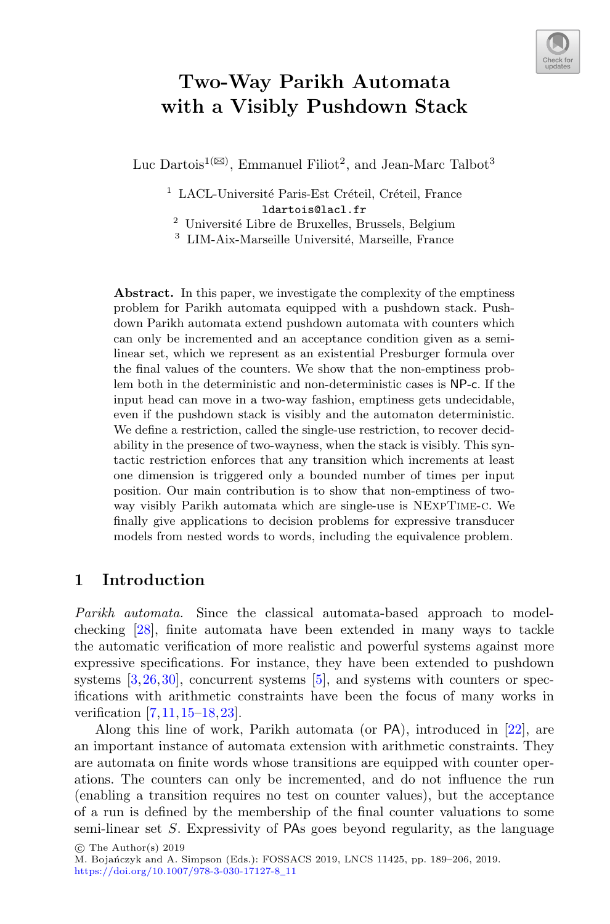

# **Two-Way Parikh Automata with a Visibly Pushdown Stack**

Luc Dartois<sup>1( $\boxtimes$ )</sup>, Emmanuel Filiot<sup>2</sup>, and Jean-Marc Talbot<sup>3</sup>

<sup>1</sup> LACL-Université Paris-Est Créteil, Créteil, France ldartois@lacl.fr

<sup>2</sup> Université Libre de Bruxelles, Brussels, Belgium

 $3$  LIM-Aix-Marseille Université, Marseille, France

Abstract. In this paper, we investigate the complexity of the emptiness problem for Parikh automata equipped with a pushdown stack. Pushdown Parikh automata extend pushdown automata with counters which can only be incremented and an acceptance condition given as a semilinear set, which we represent as an existential Presburger formula over the final values of the counters. We show that the non-emptiness problem both in the deterministic and non-deterministic cases is NP-c. If the input head can move in a two-way fashion, emptiness gets undecidable, even if the pushdown stack is visibly and the automaton deterministic. We define a restriction, called the single-use restriction, to recover decidability in the presence of two-wayness, when the stack is visibly. This syntactic restriction enforces that any transition which increments at least one dimension is triggered only a bounded number of times per input position. Our main contribution is to show that non-emptiness of twoway visibly Parikh automata which are single-use is NExpTime-c. We finally give applications to decision problems for expressive transducer models from nested words to words, including the equivalence problem.

### **1 Introduction**

*Parikh automata.* Since the classical automata-based approach to modelchecking [\[28\]](#page-16-0), finite automata have been extended in many ways to tackle the automatic verification of more realistic and powerful systems against more expressive specifications. For instance, they have been extended to pushdown systems  $[3,26,30]$  $[3,26,30]$  $[3,26,30]$  $[3,26,30]$ , concurrent systems  $[5]$  $[5]$ , and systems with counters or specifications with arithmetic constraints have been the focus of many works in verification [\[7,](#page-15-2)[11,](#page-15-3)[15](#page-16-2)[–18](#page-16-3),[23\]](#page-16-4).

Along this line of work, Parikh automata (or PA), introduced in [\[22](#page-16-5)], are an important instance of automata extension with arithmetic constraints. They are automata on finite words whose transitions are equipped with counter operations. The counters can only be incremented, and do not influence the run (enabling a transition requires no test on counter values), but the acceptance of a run is defined by the membership of the final counter valuations to some semi-linear set  $S$ . Expressivity of PAs goes beyond regularity, as the language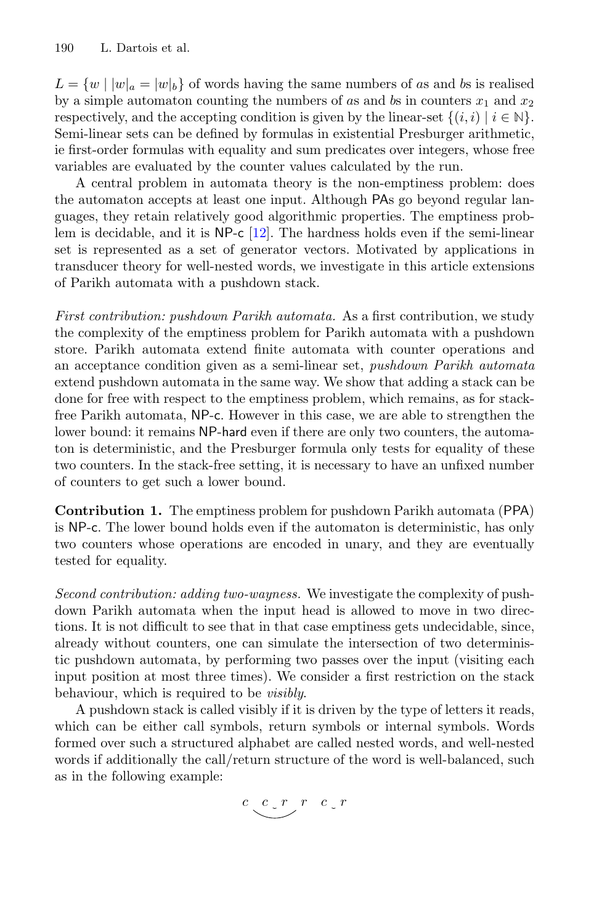$L = \{w \mid |w|_a = |w|_b\}$  of words having the same numbers of as and bs is realised by a simple automaton counting the numbers of as and bs in counters  $x_1$  and  $x_2$ respectively, and the accepting condition is given by the linear-set  $\{(i, i) | i \in \mathbb{N}\}\.$ Semi-linear sets can be defined by formulas in existential Presburger arithmetic, ie first-order formulas with equality and sum predicates over integers, whose free variables are evaluated by the counter values calculated by the run.

A central problem in automata theory is the non-emptiness problem: does the automaton accepts at least one input. Although PAs go beyond regular languages, they retain relatively good algorithmic properties. The emptiness problem is decidable, and it is NP-c [\[12\]](#page-16-6). The hardness holds even if the semi-linear set is represented as a set of generator vectors. Motivated by applications in transducer theory for well-nested words, we investigate in this article extensions of Parikh automata with a pushdown stack.

*First contribution: pushdown Parikh automata.* As a first contribution, we study the complexity of the emptiness problem for Parikh automata with a pushdown store. Parikh automata extend finite automata with counter operations and an acceptance condition given as a semi-linear set, *pushdown Parikh automata* extend pushdown automata in the same way. We show that adding a stack can be done for free with respect to the emptiness problem, which remains, as for stackfree Parikh automata, NP-c. However in this case, we are able to strengthen the lower bound: it remains NP-hard even if there are only two counters, the automaton is deterministic, and the Presburger formula only tests for equality of these two counters. In the stack-free setting, it is necessary to have an unfixed number of counters to get such a lower bound.

**Contribution 1.** The emptiness problem for pushdown Parikh automata (PPA) is NP-c. The lower bound holds even if the automaton is deterministic, has only two counters whose operations are encoded in unary, and they are eventually tested for equality.

*Second contribution: adding two-wayness.* We investigate the complexity of pushdown Parikh automata when the input head is allowed to move in two directions. It is not difficult to see that in that case emptiness gets undecidable, since, already without counters, one can simulate the intersection of two deterministic pushdown automata, by performing two passes over the input (visiting each input position at most three times). We consider a first restriction on the stack behaviour, which is required to be *visibly*.

A pushdown stack is called visibly if it is driven by the type of letters it reads, which can be either call symbols, return symbols or internal symbols. Words formed over such a structured alphabet are called nested words, and well-nested words if additionally the call/return structure of the word is well-balanced, such as in the following example:

$$
c \underbrace{c \cdot r}_{\sim} r \quad c \cdot r
$$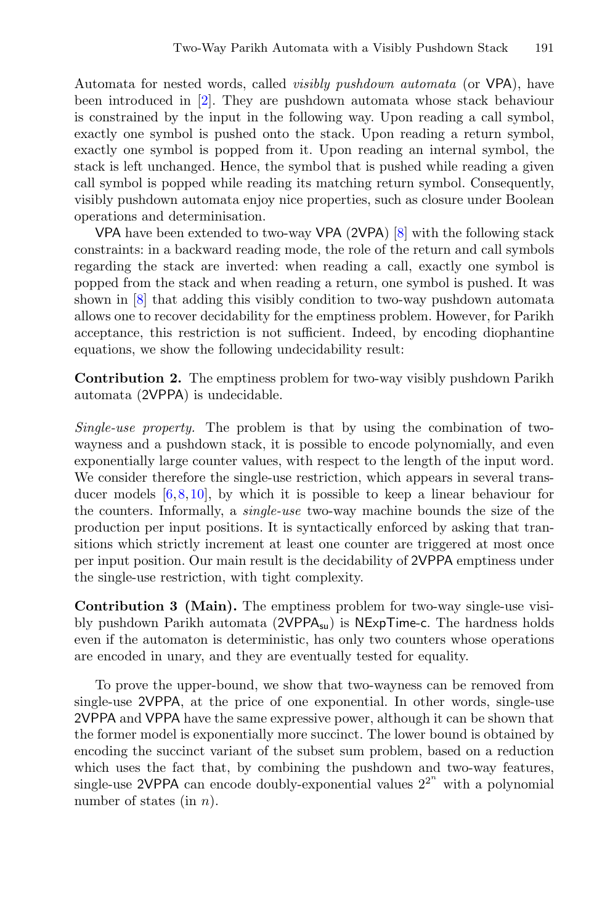Automata for nested words, called *visibly pushdown automata* (or VPA), have been introduced in [\[2](#page-15-4)]. They are pushdown automata whose stack behaviour is constrained by the input in the following way. Upon reading a call symbol, exactly one symbol is pushed onto the stack. Upon reading a return symbol, exactly one symbol is popped from it. Upon reading an internal symbol, the stack is left unchanged. Hence, the symbol that is pushed while reading a given call symbol is popped while reading its matching return symbol. Consequently, visibly pushdown automata enjoy nice properties, such as closure under Boolean operations and determinisation.

VPA have been extended to two-way VPA (2VPA) [\[8](#page-15-5)] with the following stack constraints: in a backward reading mode, the role of the return and call symbols regarding the stack are inverted: when reading a call, exactly one symbol is popped from the stack and when reading a return, one symbol is pushed. It was shown in [\[8](#page-15-5)] that adding this visibly condition to two-way pushdown automata allows one to recover decidability for the emptiness problem. However, for Parikh acceptance, this restriction is not sufficient. Indeed, by encoding diophantine equations, we show the following undecidability result:

**Contribution 2.** The emptiness problem for two-way visibly pushdown Parikh automata (2VPPA) is undecidable.

*Single-use property.* The problem is that by using the combination of twowayness and a pushdown stack, it is possible to encode polynomially, and even exponentially large counter values, with respect to the length of the input word. We consider therefore the single-use restriction, which appears in several transducer models  $[6,8,10]$  $[6,8,10]$  $[6,8,10]$  $[6,8,10]$ , by which it is possible to keep a linear behaviour for the counters. Informally, a *single-use* two-way machine bounds the size of the production per input positions. It is syntactically enforced by asking that transitions which strictly increment at least one counter are triggered at most once per input position. Our main result is the decidability of 2VPPA emptiness under the single-use restriction, with tight complexity.

**Contribution 3 (Main).** The emptiness problem for two-way single-use visibly pushdown Parikh automata (2VPPA<sub>su</sub>) is NExpTime-c. The hardness holds even if the automaton is deterministic, has only two counters whose operations are encoded in unary, and they are eventually tested for equality.

To prove the upper-bound, we show that two-wayness can be removed from single-use 2VPPA, at the price of one exponential. In other words, single-use 2VPPA and VPPA have the same expressive power, although it can be shown that the former model is exponentially more succinct. The lower bound is obtained by encoding the succinct variant of the subset sum problem, based on a reduction which uses the fact that, by combining the pushdown and two-way features, single-use 2VPPA can encode doubly-exponential values  $2^{2^n}$  with a polynomial number of states (in  $n$ ).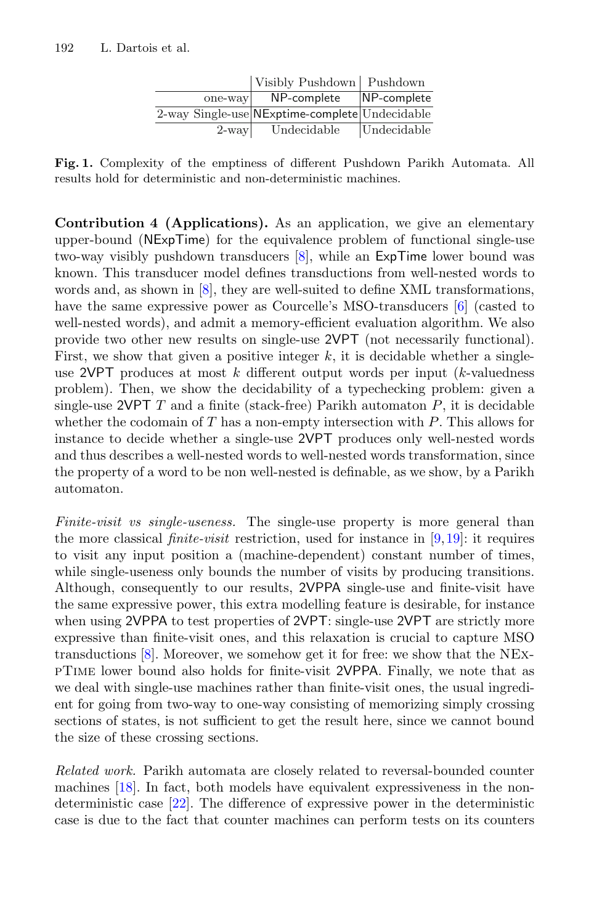|          | Visibly Pushdown   Pushdown                    |             |
|----------|------------------------------------------------|-------------|
| one-way  | NP-complete                                    | NP-complete |
|          | 2-way Single-use NExptime-complete Undecidable |             |
| $2$ -way | Undecidable                                    | Undecidable |

**Fig. 1.** Complexity of the emptiness of different Pushdown Parikh Automata. All results hold for deterministic and non-deterministic machines.

**Contribution 4 (Applications).** As an application, we give an elementary upper-bound (NExpTime) for the equivalence problem of functional single-use two-way visibly pushdown transducers [\[8](#page-15-5)], while an ExpTime lower bound was known. This transducer model defines transductions from well-nested words to words and, as shown in [\[8\]](#page-15-5), they are well-suited to define XML transformations, have the same expressive power as Courcelle's MSO-transducers [\[6\]](#page-15-6) (casted to well-nested words), and admit a memory-efficient evaluation algorithm. We also provide two other new results on single-use 2VPT (not necessarily functional). First, we show that given a positive integer  $k$ , it is decidable whether a singleuse 2VPT produces at most  $k$  different output words per input  $(k$ -valuedness problem). Then, we show the decidability of a typechecking problem: given a single-use  $2VPTT$  and a finite (stack-free) Parikh automaton  $P$ , it is decidable whether the codomain of  $T$  has a non-empty intersection with  $P$ . This allows for instance to decide whether a single-use 2VPT produces only well-nested words and thus describes a well-nested words to well-nested words transformation, since the property of a word to be non well-nested is definable, as we show, by a Parikh automaton.

*Finite-visit vs single-useness.* The single-use property is more general than the more classical *finite-visit* restriction, used for instance in [\[9,](#page-15-8)[19\]](#page-16-7): it requires to visit any input position a (machine-dependent) constant number of times, while single-useness only bounds the number of visits by producing transitions. Although, consequently to our results, 2VPPA single-use and finite-visit have the same expressive power, this extra modelling feature is desirable, for instance when using 2VPPA to test properties of 2VPT: single-use 2VPT are strictly more expressive than finite-visit ones, and this relaxation is crucial to capture MSO transductions [\[8](#page-15-5)]. Moreover, we somehow get it for free: we show that the NExpTime lower bound also holds for finite-visit 2VPPA. Finally, we note that as we deal with single-use machines rather than finite-visit ones, the usual ingredient for going from two-way to one-way consisting of memorizing simply crossing sections of states, is not sufficient to get the result here, since we cannot bound the size of these crossing sections.

*Related work.* Parikh automata are closely related to reversal-bounded counter machines [\[18\]](#page-16-3). In fact, both models have equivalent expressiveness in the nondeterministic case [\[22](#page-16-5)]. The difference of expressive power in the deterministic case is due to the fact that counter machines can perform tests on its counters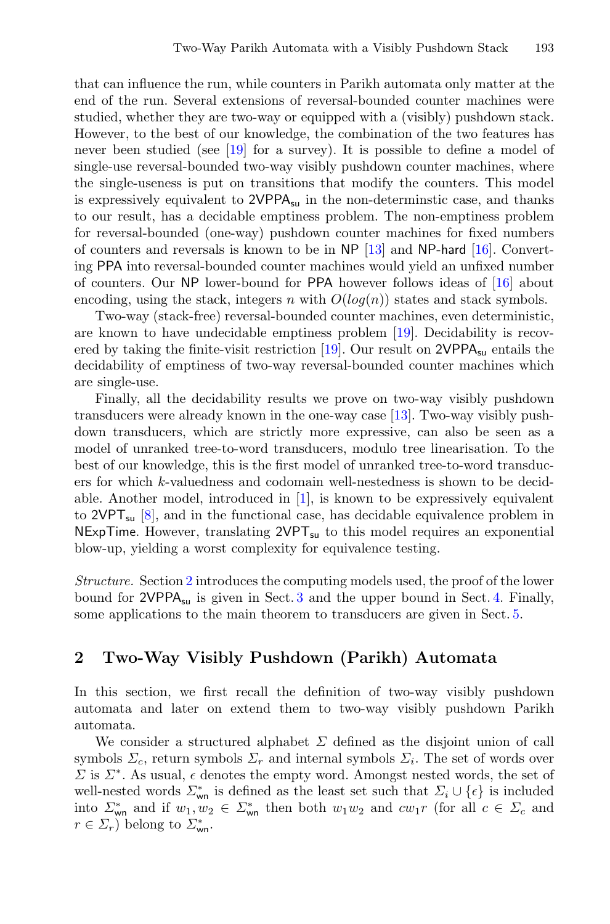that can influence the run, while counters in Parikh automata only matter at the end of the run. Several extensions of reversal-bounded counter machines were studied, whether they are two-way or equipped with a (visibly) pushdown stack. However, to the best of our knowledge, the combination of the two features has never been studied (see [\[19](#page-16-7)] for a survey). It is possible to define a model of single-use reversal-bounded two-way visibly pushdown counter machines, where the single-useness is put on transitions that modify the counters. This model is expressively equivalent to  $2VPPA_{su}$  in the non-determinstic case, and thanks to our result, has a decidable emptiness problem. The non-emptiness problem for reversal-bounded (one-way) pushdown counter machines for fixed numbers of counters and reversals is known to be in NP [\[13](#page-16-8)] and NP-hard [\[16](#page-16-9)]. Converting PPA into reversal-bounded counter machines would yield an unfixed number of counters. Our NP lower-bound for PPA however follows ideas of [\[16](#page-16-9)] about encoding, using the stack, integers n with  $O(log(n))$  states and stack symbols.

Two-way (stack-free) reversal-bounded counter machines, even deterministic, are known to have undecidable emptiness problem [\[19\]](#page-16-7). Decidability is recov-ered by taking the finite-visit restriction [\[19\]](#page-16-7). Our result on 2VPPA<sub>su</sub> entails the decidability of emptiness of two-way reversal-bounded counter machines which are single-use.

Finally, all the decidability results we prove on two-way visibly pushdown transducers were already known in the one-way case [\[13\]](#page-16-8). Two-way visibly pushdown transducers, which are strictly more expressive, can also be seen as a model of unranked tree-to-word transducers, modulo tree linearisation. To the best of our knowledge, this is the first model of unranked tree-to-word transducers for which k-valuedness and codomain well-nestedness is shown to be decidable. Another model, introduced in  $[1]$ , is known to be expressively equivalent to  $2VPT_{su}$  [\[8](#page-15-5)], and in the functional case, has decidable equivalence problem in NExpTime. However, translating  $2VPT_{su}$  to this model requires an exponential blow-up, yielding a worst complexity for equivalence testing.

*Structure.* Section [2](#page-4-0) introduces the computing models used, the proof of the lower bound for  $2VPPA_{su}$  is given in Sect. [3](#page-8-0) and the upper bound in Sect. [4.](#page-10-0) Finally, some applications to the main theorem to transducers are given in Sect. [5.](#page-13-0)

### <span id="page-4-0"></span>**2 Two-Way Visibly Pushdown (Parikh) Automata**

In this section, we first recall the definition of two-way visibly pushdown automata and later on extend them to two-way visibly pushdown Parikh automata.

We consider a structured alphabet  $\Sigma$  defined as the disjoint union of call symbols  $\Sigma_c$ , return symbols  $\Sigma_r$  and internal symbols  $\Sigma_i$ . The set of words over  $\Sigma$  is  $\Sigma^*$ . As usual,  $\epsilon$  denotes the empty word. Amongst nested words, the set of well-nested words  $\Sigma_{\text{wn}}^*$  is defined as the least set such that  $\Sigma_i \cup {\epsilon}$  is included into  $\Sigma^*_{\text{wn}}$  and if  $w_1, w_2 \in \Sigma^*_{\text{wn}}$  then both  $w_1w_2$  and  $cw_1r$  (for all  $c \in \Sigma_c$  and  $r \in \Sigma_r$ ) belong to  $\Sigma^*_{\text{wn}}$ .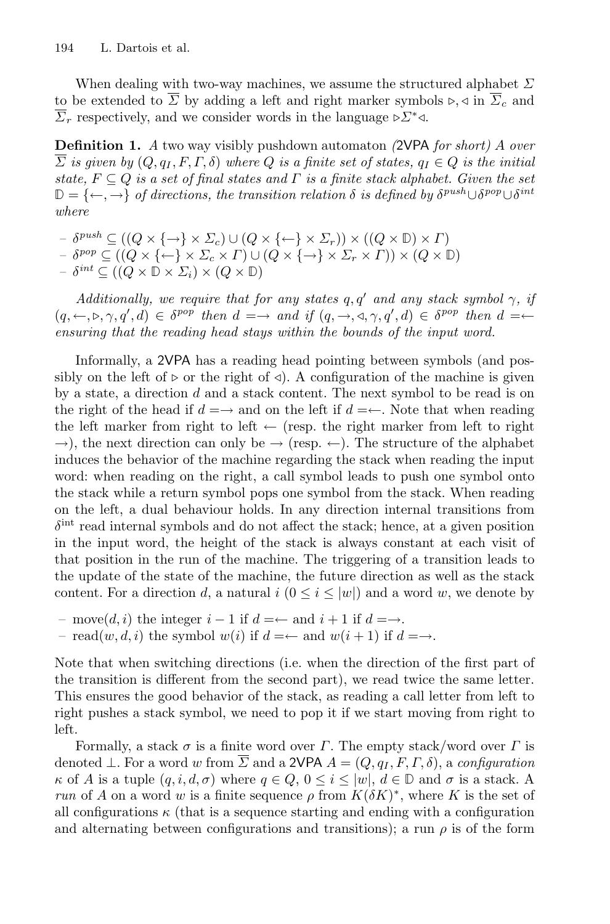When dealing with two-way machines, we assume the structured alphabet  $\Sigma$ to be extended to  $\overline{\Sigma}$  by adding a left and right marker symbols  $\triangleright, \triangleleft$  in  $\overline{\Sigma}_c$  and  $\overline{\Sigma}_r$  respectively, and we consider words in the language ⊳ $\Sigma^*$ ∢.

**Definition 1.** *A* two way visibly pushdown automaton *(*2VPA *for short)* A *over*  $\overline{\Sigma}$  *is given by*  $(Q, q_I, F, \Gamma, \delta)$  *where*  $Q$  *is a finite set of states,*  $q_I \in Q$  *is the initial state,*  $F \subseteq Q$  *is a set of final states and*  $\Gamma$  *is a finite stack alphabet. Given the set* **<sup>D</sup>** <sup>=</sup> {←,→} *of directions, the transition relation* <sup>δ</sup> *is defined by* <sup>δ</sup>*push*∪δ*pop*∪δ*int where*

- $-\delta^{push} \subseteq ((Q \times \{\rightarrow\} \times \Sigma_c) \cup (Q \times \{\leftarrow\} \times \Sigma_r)) \times ((Q \times \mathbb{D}) \times \Gamma)$
- $-\delta^{pop} \subseteq ((Q \times \{\leftarrow\} \times \Sigma_c \times \Gamma) \cup (Q \times \{\rightarrow\} \times \Sigma_r \times \Gamma)) \times (Q \times \mathbb{D})$  $-\delta^{int} \subseteq ((Q \times \mathbb{D} \times \Sigma_i) \times (Q \times \mathbb{D}))$

*Additionally, we require that for any states*  $q, q'$  *and any stack symbol*  $\gamma$ *, if*  $(q, \leftarrow, \triangleright, \gamma, q', d) \in \delta^{pop}$  *then*  $d \equiv \rightarrow \text{ and if } (q, \rightarrow, \triangleleft, \gamma, q', d) \in \delta^{pop}$  *then*  $d \equiv \leftarrow$ *ensuring that the reading head stays within the bounds of the input word.*

Informally, a 2VPA has a reading head pointing between symbols (and possibly on the left of  $\triangleright$  or the right of  $\triangleleft$ ). A configuration of the machine is given by a state, a direction  $d$  and a stack content. The next symbol to be read is on the right of the head if  $d = \rightarrow$  and on the left if  $d = \leftarrow$ . Note that when reading the left marker from right to left  $\leftarrow$  (resp. the right marker from left to right  $\rightarrow$ ), the next direction can only be  $\rightarrow$  (resp.  $\leftarrow$ ). The structure of the alphabet induces the behavior of the machine regarding the stack when reading the input word: when reading on the right, a call symbol leads to push one symbol onto the stack while a return symbol pops one symbol from the stack. When reading on the left, a dual behaviour holds. In any direction internal transitions from  $\delta^{\text{int}}$  read internal symbols and do not affect the stack; hence, at a given position in the input word, the height of the stack is always constant at each visit of that position in the run of the machine. The triggering of a transition leads to the update of the state of the machine, the future direction as well as the stack content. For a direction d, a natural i  $(0 \leq i \leq |w|)$  and a word w, we denote by

- move $(d, i)$  the integer  $i 1$  if  $d = \leftarrow$  and  $i + 1$  if  $d = \rightarrow$ .
- read $(w, d, i)$  the symbol  $w(i)$  if  $d = \leftarrow$  and  $w(i + 1)$  if  $d = \rightarrow$ .

Note that when switching directions (i.e. when the direction of the first part of the transition is different from the second part), we read twice the same letter. This ensures the good behavior of the stack, as reading a call letter from left to right pushes a stack symbol, we need to pop it if we start moving from right to left.

Formally, a stack  $\sigma$  is a finite word over  $\Gamma$ . The empty stack/word over  $\Gamma$  is denoted  $\bot$ . For a word w from  $\overline{\Sigma}$  and a 2VPA  $A = (Q, q_I, F, \Gamma, \delta)$ , a *configuration*  $\kappa$  of A is a tuple  $(q, i, d, \sigma)$  where  $q \in Q$ ,  $0 \leq i \leq |w|$ ,  $d \in \mathbb{D}$  and  $\sigma$  is a stack. A *run* of A on a word w is a finite sequence  $\rho$  from  $K(\delta K)^*$ , where K is the set of all configurations  $\kappa$  (that is a sequence starting and ending with a configuration and alternating between configurations and transitions); a run  $\rho$  is of the form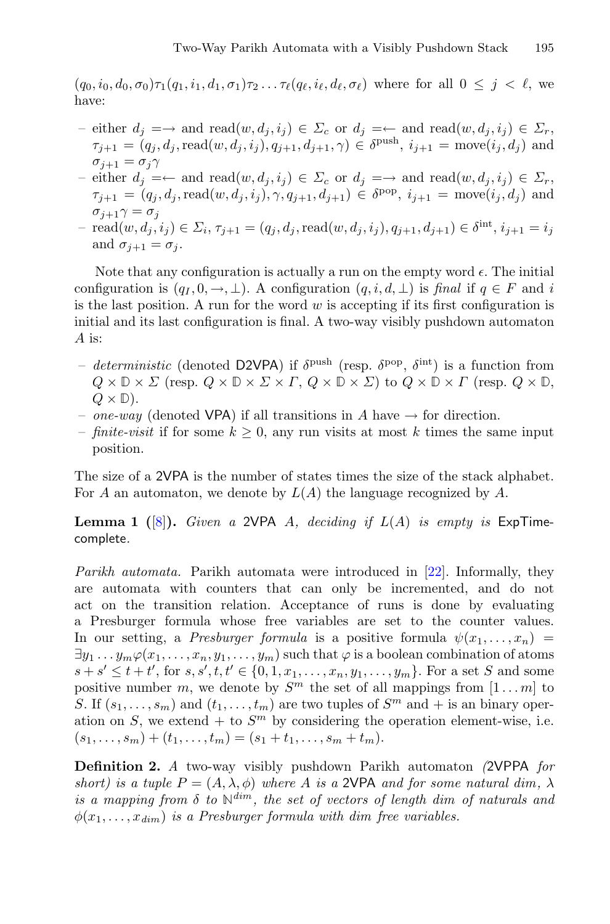$(q_0, i_0, d_0, \sigma_0) \tau_1(q_1, i_1, d_1, \sigma_1) \tau_2 \dots \tau_\ell(q_\ell, i_\ell, d_\ell, \sigma_\ell)$  where for all  $0 \leq j \leq \ell$ , we have:

- either  $d_j \implies$  and read $(w, d_j, i_j) \in \Sigma_c$  or  $d_j \implies$  and read $(w, d_j, i_j) \in \Sigma_r$ ,  $\tau_{i+1} = (q_i, d_i, \text{read}(w, d_i, i_i), q_{i+1}, d_{i+1}, \gamma) \in \delta^{\text{push}}, i_{i+1} = \text{move}(i_i, d_i)$  and  $\sigma_{i+1} = \sigma_i \gamma$
- either  $d_i = \leftarrow$  and read $(w, d_i, i_j) \in \Sigma_c$  or  $d_i = \rightarrow$  and read $(w, d_i, i_j) \in \Sigma_r$ ,  $\tau_{j+1} = (q_j, d_j, \text{read}(w, d_j, i_j), \gamma, q_{j+1}, d_{j+1}) \in \delta^{\text{pop}}, i_{j+1} = \text{move}(i_j, d_j)$  and  $\sigma_{i+1}\gamma = \sigma_i$
- $\text{read}(w, d_j, i_j) \in \Sigma_i, \tau_{j+1} = (q_j, d_j, \text{read}(w, d_j, i_j), q_{j+1}, d_{j+1}) \in \delta^{\text{int}}, i_{j+1} = i_j$ and  $\sigma_{i+1} = \sigma_i$ .

Note that any configuration is actually a run on the empty word  $\epsilon$ . The initial configuration is  $(q_I, 0, \rightarrow, \perp)$ . A configuration  $(q, i, d, \perp)$  is *final* if  $q \in F$  and i is the last position. A run for the word  $w$  is accepting if its first configuration is initial and its last configuration is final. A two-way visibly pushdown automaton A is:

- *deterministic* (denoted D2VPA) if  $\delta^{push}$  (resp.  $\delta^{pop}$ ,  $\delta^{int}$ ) is a function from  $Q \times \mathbb{D} \times \Sigma$  (resp.  $Q \times \mathbb{D} \times \Sigma \times \Gamma$ ,  $Q \times \mathbb{D} \times \Sigma$ ) to  $Q \times \mathbb{D} \times \Gamma$  (resp.  $Q \times \mathbb{D}$ ,  $Q \times D$ ).
- *one-way* (denoted VPA) if all transitions in A have  $\rightarrow$  for direction.
- *finite-visit* if for some  $k \geq 0$ , any run visits at most k times the same input position.

The size of a 2VPA is the number of states times the size of the stack alphabet. For A an automaton, we denote by  $L(A)$  the language recognized by A.

**Lemma 1 (**[\[8](#page-15-5)]**).** *Given a* 2VPA A*, deciding if* L(A) *is empty is* ExpTimecomplete*.*

*Parikh automata.* Parikh automata were introduced in [\[22](#page-16-5)]. Informally, they are automata with counters that can only be incremented, and do not act on the transition relation. Acceptance of runs is done by evaluating a Presburger formula whose free variables are set to the counter values. In our setting, a *Presburger formula* is a positive formula  $\psi(x_1,...,x_n)$  =  $\exists y_1 \ldots y_m \varphi(x_1,\ldots,x_n,y_1,\ldots,y_m)$  such that  $\varphi$  is a boolean combination of atoms  $s + s' \le t + t'$ , for  $s, s', t, t' \in \{0, 1, x_1, \ldots, x_n, y_1, \ldots, y_m\}$ . For a set S and some positive number m, we denote by  $S^m$  the set of all mappings from  $[1 \dots m]$  to S. If  $(s_1,\ldots,s_m)$  and  $(t_1,\ldots,t_m)$  are two tuples of  $S^m$  and  $+$  is an binary operation on S, we extend + to  $S<sup>m</sup>$  by considering the operation element-wise, i.e.  $(s_1,\ldots,s_m)+(t_1,\ldots,t_m)=(s_1+t_1,\ldots,s_m+t_m).$ 

**Definition 2.** *A* two-way visibly pushdown Parikh automaton *(*2VPPA *for short) is a tuple*  $P = (A, \lambda, \phi)$  *where* A *is a* 2VPA *and for some natural dim,*  $\lambda$ *is a mapping from* δ *to* **N***dim, the set of vectors of length dim of naturals and*  $\phi(x_1,\ldots,x_{dim})$  *is a Presburger formula with dim free variables.*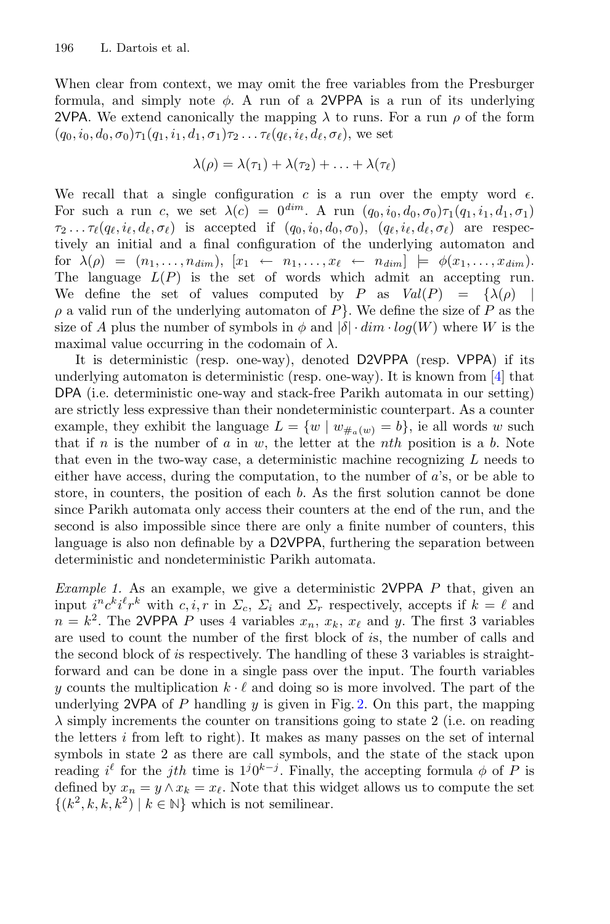When clear from context, we may omit the free variables from the Presburger formula, and simply note  $\phi$ . A run of a 2VPPA is a run of its underlying 2VPA. We extend canonically the mapping  $\lambda$  to runs. For a run  $\rho$  of the form  $(q_0, i_0, d_0, \sigma_0) \tau_1(q_1, i_1, d_1, \sigma_1) \tau_2 \dots \tau_\ell(q_\ell, i_\ell, d_\ell, \sigma_\ell)$ , we set

$$
\lambda(\rho) = \lambda(\tau_1) + \lambda(\tau_2) + \ldots + \lambda(\tau_\ell)
$$

We recall that a single configuration c is a run over the empty word  $\epsilon$ . For such a run c, we set  $\lambda(c)=0^{dim}$ . A run  $(q_0, i_0, d_0, \sigma_0)\tau_1(q_1, i_1, d_1, \sigma_1)$  $\tau_2 \ldots \tau_\ell(q_\ell, i_\ell, d_\ell, \sigma_\ell)$  is accepted if  $(q_0, i_0, d_0, \sigma_0)$ ,  $(q_\ell, i_\ell, d_\ell, \sigma_\ell)$  are respectively an initial and a final configuration of the underlying automaton and  $f$ or  $\lambda(\rho) = (n_1,\ldots,n_{dim}), [x_1 \leftarrow n_1,\ldots,x_\ell \leftarrow n_{dim}] \models \phi(x_1,\ldots,x_{dim}).$ The language  $L(P)$  is the set of words which admit an accepting run. We define the set of values computed by P as  $Val(P) = \{\lambda(\rho)\}$  $\rho$  a valid run of the underlying automaton of  $P$ . We define the size of P as the size of A plus the number of symbols in  $\phi$  and  $|\delta| \cdot dim \cdot log(W)$  where W is the maximal value occurring in the codomain of  $\lambda$ .

It is deterministic (resp. one-way), denoted D2VPPA (resp. VPPA) if its underlying automaton is deterministic (resp. one-way). It is known from [\[4](#page-15-10)] that DPA (i.e. deterministic one-way and stack-free Parikh automata in our setting) are strictly less expressive than their nondeterministic counterpart. As a counter example, they exhibit the language  $L = \{w \mid w_{\#_{\alpha}(w)} = b\}$ , ie all words w such that if n is the number of a in  $w$ , the letter at the nth position is a b. Note that even in the two-way case, a deterministic machine recognizing  $L$  needs to either have access, during the computation, to the number of a's, or be able to store, in counters, the position of each b. As the first solution cannot be done since Parikh automata only access their counters at the end of the run, and the second is also impossible since there are only a finite number of counters, this language is also non definable by a D2VPPA, furthering the separation between deterministic and nondeterministic Parikh automata.

<span id="page-7-0"></span>*Example 1.* As an example, we give a deterministic 2VPPA P that, given an input  $i^n c^k i^{\ell} r^k$  with  $c, i, r$  in  $\Sigma_c$ ,  $\Sigma_i$  and  $\Sigma_r$  respectively, accepts if  $k = \ell$  and  $n = k^2$ . The 2VPPA P uses 4 variables  $x_n, x_k, x_\ell$  and y. The first 3 variables are used to count the number of the first block of is, the number of calls and the second block of is respectively. The handling of these 3 variables is straightforward and can be done in a single pass over the input. The fourth variables y counts the multiplication  $k \cdot \ell$  and doing so is more involved. The part of the underlying 2VPA of P handling  $y$  is given in Fig. [2.](#page-8-1) On this part, the mapping  $\lambda$  simply increments the counter on transitions going to state 2 (i.e. on reading the letters  $i$  from left to right). It makes as many passes on the set of internal symbols in state 2 as there are call symbols, and the state of the stack upon reading  $i^{\ell}$  for the jth time is  $1^j0^{k-j}$ . Finally, the accepting formula  $\phi$  of P is defined by  $x_n = y \wedge x_k = x_\ell$ . Note that this widget allows us to compute the set  $\{(k^2, k, k, k^2) \mid k \in \mathbb{N}\}\$  which is not semilinear.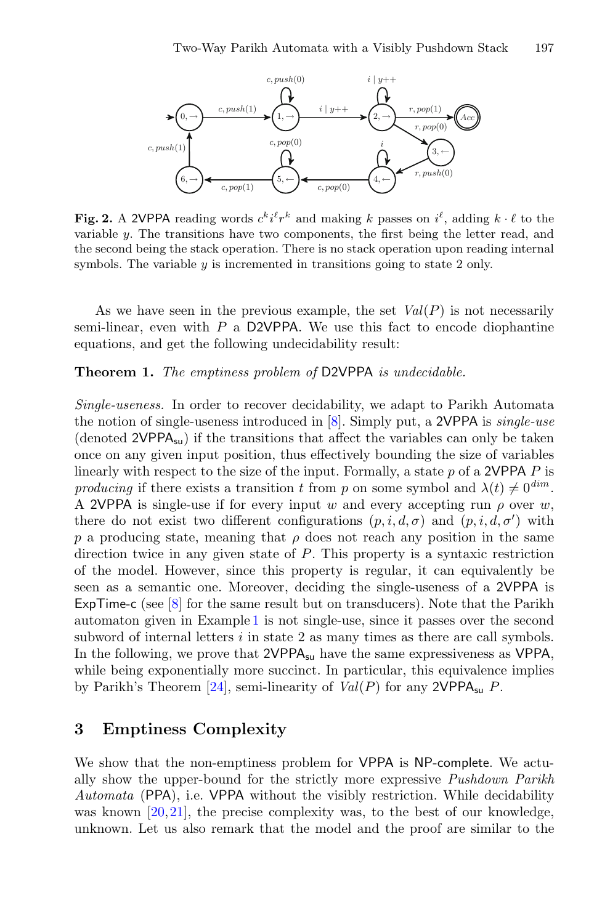<span id="page-8-1"></span>

**Fig. 2.** A 2VPPA reading words  $c^k i^l r^k$  and making k passes on  $i^l$ , adding  $k \cdot l$  to the variable  $\psi$ . The transitions have two components, the first being the letter read, and the second being the stack operation. There is no stack operation upon reading internal symbols. The variable  $y$  is incremented in transitions going to state 2 only.

As we have seen in the previous example, the set *Val*(P) is not necessarily semi-linear, even with  $P$  a D2VPPA. We use this fact to encode diophantine equations, and get the following undecidability result:

#### **Theorem 1.** *The emptiness problem of* D2VPPA *is undecidable.*

*Single-useness.* In order to recover decidability, we adapt to Parikh Automata the notion of single-useness introduced in [\[8\]](#page-15-5). Simply put, a 2VPPA is *single-use* (denoted 2VPPA<sub>su</sub>) if the transitions that affect the variables can only be taken once on any given input position, thus effectively bounding the size of variables linearly with respect to the size of the input. Formally, a state  $p$  of a 2VPPA  $P$  is *producing* if there exists a transition t from p on some symbol and  $\lambda(t) \neq 0^{dim}$ . A 2VPPA is single-use if for every input w and every accepting run  $\rho$  over w, there do not exist two different configurations  $(p, i, d, \sigma)$  and  $(p, i, d, \sigma')$  with p a producing state, meaning that  $\rho$  does not reach any position in the same direction twice in any given state of  $P$ . This property is a syntaxic restriction of the model. However, since this property is regular, it can equivalently be seen as a semantic one. Moreover, deciding the single-useness of a 2VPPA is ExpTime-c (see [\[8\]](#page-15-5) for the same result but on transducers). Note that the Parikh automaton given in Example [1](#page-7-0) is not single-use, since it passes over the second subword of internal letters  $i$  in state 2 as many times as there are call symbols. In the following, we prove that  $2VPPA_{su}$  have the same expressiveness as VPPA, while being exponentially more succinct. In particular, this equivalence implies by Parikh's Theorem  $[24]$  $[24]$ , semi-linearity of  $Val(P)$  for any 2VPPA<sub>su</sub> P.

#### <span id="page-8-0"></span>**3 Emptiness Complexity**

We show that the non-emptiness problem for VPPA is NP-complete. We actually show the upper-bound for the strictly more expressive *Pushdown Parikh Automata* (PPA), i.e. VPPA without the visibly restriction. While decidability was known  $[20,21]$  $[20,21]$  $[20,21]$ , the precise complexity was, to the best of our knowledge, unknown. Let us also remark that the model and the proof are similar to the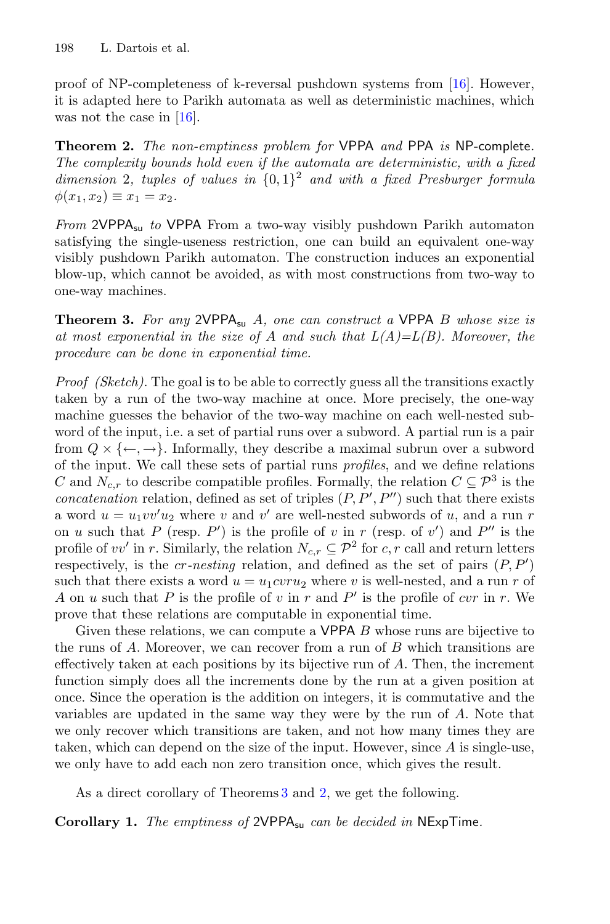proof of NP-completeness of k-reversal pushdown systems from [\[16](#page-16-9)]. However, it is adapted here to Parikh automata as well as deterministic machines, which was not the case in [\[16\]](#page-16-9).

<span id="page-9-1"></span>**Theorem 2.** *The non-emptiness problem for* VPPA *and* PPA *is* NP-complete*. The complexity bounds hold even if the automata are deterministic, with a fixed dimension* <sup>2</sup>*, tuples of values in* {0, <sup>1</sup>}<sup>2</sup> *and with a fixed Presburger formula*  $\phi(x_1, x_2) \equiv x_1 = x_2.$ 

*From* 2VPPAsu *to* VPPA From a two-way visibly pushdown Parikh automaton satisfying the single-useness restriction, one can build an equivalent one-way visibly pushdown Parikh automaton. The construction induces an exponential blow-up, which cannot be avoided, as with most constructions from two-way to one-way machines.

<span id="page-9-0"></span>**Theorem 3.** *For any* 2VPPAsu A*, one can construct a* VPPA B *whose size is at most exponential in the size of* A *and such that L(A)=L(B). Moreover, the procedure can be done in exponential time.*

*Proof (Sketch)*. The goal is to be able to correctly guess all the transitions exactly taken by a run of the two-way machine at once. More precisely, the one-way machine guesses the behavior of the two-way machine on each well-nested subword of the input, i.e. a set of partial runs over a subword. A partial run is a pair from  $Q \times \{\leftarrow, \rightarrow\}$ . Informally, they describe a maximal subrun over a subword of the input. We call these sets of partial runs *profiles*, and we define relations C and  $N_{c,r}$  to describe compatible profiles. Formally, the relation  $C \subseteq \mathcal{P}^3$  is the *concatenation* relation, defined as set of triples  $(P, P', P'')$  such that there exists a word  $u = u_1 v v' u_2$  where v and v' are well-nested subwords of u, and a run r on u such that P (resp. P') is the profile of v in r (resp. of v') and P'' is the profile of vv' in r. Similarly, the relation  $N_{c,r} \subseteq \mathcal{P}^2$  for c, r call and return letters respectively, is the *cr-nesting* relation, and defined as the set of pairs  $(P, P')$ such that there exists a word  $u = u_1cvru_2$  where v is well-nested, and a run r of A on u such that P is the profile of v in r and P' is the profile of cvr in r. We prove that these relations are computable in exponential time.

Given these relations, we can compute a  $VPPA$  B whose runs are bijective to the runs of A. Moreover, we can recover from a run of B which transitions are effectively taken at each positions by its bijective run of A. Then, the increment function simply does all the increments done by the run at a given position at once. Since the operation is the addition on integers, it is commutative and the variables are updated in the same way they were by the run of A. Note that we only recover which transitions are taken, and not how many times they are taken, which can depend on the size of the input. However, since A is single-use, we only have to add each non zero transition once, which gives the result.

As a direct corollary of Theorems [3](#page-9-0) and [2,](#page-9-1) we get the following.

**Corollary 1.** *The emptiness of* 2VPPAsu *can be decided in* NExpTime*.*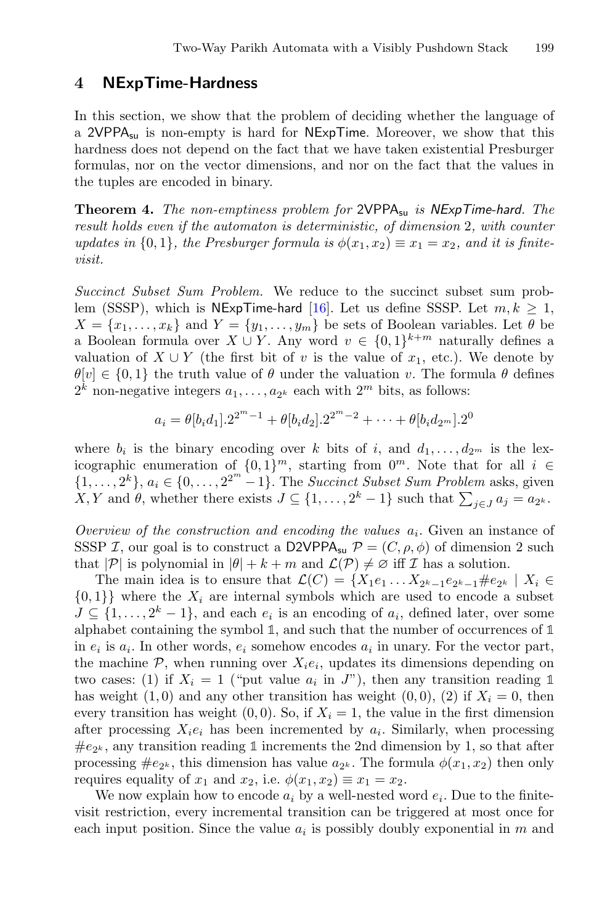#### <span id="page-10-0"></span>**4 NExpTime-Hardness**

In this section, we show that the problem of deciding whether the language of a 2VPPA<sub>su</sub> is non-empty is hard for NExpTime. Moreover, we show that this hardness does not depend on the fact that we have taken existential Presburger formulas, nor on the vector dimensions, and nor on the fact that the values in the tuples are encoded in binary.

<span id="page-10-1"></span>**Theorem 4.** *The non-emptiness problem for* 2VPPA<sub>su</sub> *is NExpTime-hard. The result holds even if the automaton is deterministic, of dimension* 2*, with counter* updates in  $\{0,1\}$ , the Presburger formula is  $\phi(x_1, x_2) \equiv x_1 = x_2$ , and it is finite*visit.*

*Succinct Subset Sum Problem.* We reduce to the succinct subset sum prob-lem (SSSP), which is NExpTime-hard [\[16](#page-16-9)]. Let us define SSSP. Let  $m, k \geq 1$ ,  $X = \{x_1, \ldots, x_k\}$  and  $Y = \{y_1, \ldots, y_m\}$  be sets of Boolean variables. Let  $\theta$  be a Boolean formula over  $X \cup Y$ . Any word  $v \in \{0,1\}^{k+m}$  naturally defines a valuation of  $X \cup Y$  (the first bit of v is the value of  $x_1$ , etc.). We denote by  $\theta[v] \in \{0,1\}$  the truth value of  $\theta$  under the valuation v. The formula  $\theta$  defines  $2^k$  non-negative integers  $a_1, \ldots, a_{2^k}$  each with  $2^m$  bits, as follows:

$$
a_i = \theta[b_i d_1] \cdot 2^{2^m - 1} + \theta[b_i d_2] \cdot 2^{2^m - 2} + \dots + \theta[b_i d_{2^m}] \cdot 2^0
$$

where  $b_i$  is the binary encoding over k bits of i, and  $d_1,\ldots,d_{2^m}$  is the lexicographic enumeration of  $\{0, 1\}^m$ , starting from  $0^m$ . Note that for all  $i \in$  $\{1,\ldots,2^k\}, a_i \in \{0,\ldots,2^{2^m}-1\}.$  The *Succinct Subset Sum Problem* asks, given X, Y and  $\theta$ , whether there exists  $J \subseteq \{1, \ldots, 2^k - 1\}$  such that  $\sum_{j \in J} a_j = a_{2^k}$ .

*Overview of the construction and encoding the values*  $a_i$ . Given an instance of SSSP I, our goal is to construct a D2VPPA<sub>su</sub>  $\mathcal{P} = (C, \rho, \phi)$  of dimension 2 such that  $|\mathcal{P}|$  is polynomial in  $|\theta| + k + m$  and  $\mathcal{L}(\mathcal{P}) \neq \emptyset$  iff  $\mathcal I$  has a solution.

The main idea is to ensure that  $\mathcal{L}(C) = \{X_1e_1 \dots X_{2^k-1}e_{2^k-1} \# e_{2^k} \mid X_i \in$  $\{0,1\}$  where the  $X_i$  are internal symbols which are used to encode a subset  $J \subseteq \{1, \ldots, 2^k-1\}$ , and each  $e_i$  is an encoding of  $a_i$ , defined later, over some alphabet containing the symbol **1**, and such that the number of occurrences of **1** in  $e_i$  is  $a_i$ . In other words,  $e_i$  somehow encodes  $a_i$  in unary. For the vector part, the machine  $P$ , when running over  $X_i e_i$ , updates its dimensions depending on two cases: (1) if  $X_i = 1$  ("put value  $a_i$  in J"), then any transition reading 1 has weight  $(1,0)$  and any other transition has weight  $(0,0)$ ,  $(2)$  if  $X_i = 0$ , then every transition has weight  $(0, 0)$ . So, if  $X_i = 1$ , the value in the first dimension after processing  $X_i e_i$  has been incremented by  $a_i$ . Similarly, when processing  $\text{\#}e_{2^k}$ , any transition reading 1 increments the 2nd dimension by 1, so that after processing  $\#e_{2^k}$ , this dimension has value  $a_{2^k}$ . The formula  $\phi(x_1, x_2)$  then only requires equality of  $x_1$  and  $x_2$ , i.e.  $\phi(x_1, x_2) \equiv x_1 = x_2$ .

We now explain how to encode  $a_i$  by a well-nested word  $e_i$ . Due to the finitevisit restriction, every incremental transition can be triggered at most once for each input position. Since the value  $a_i$  is possibly doubly exponential in m and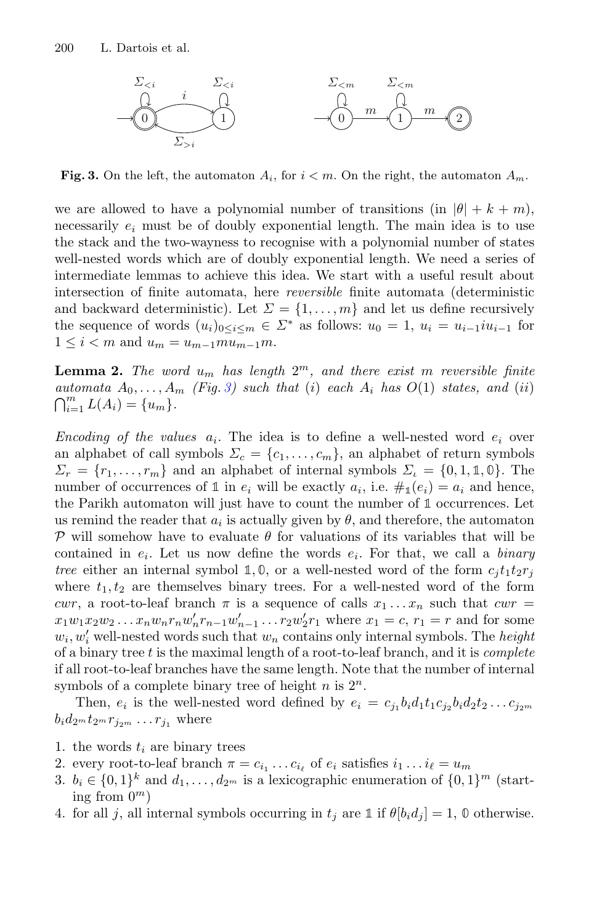<span id="page-11-0"></span>

**Fig. 3.** On the left, the automaton  $A_i$ , for  $i < m$ . On the right, the automaton  $A_m$ .

we are allowed to have a polynomial number of transitions (in  $|\theta| + k + m$ ), necessarily  $e_i$  must be of doubly exponential length. The main idea is to use the stack and the two-wayness to recognise with a polynomial number of states well-nested words which are of doubly exponential length. We need a series of intermediate lemmas to achieve this idea. We start with a useful result about intersection of finite automata, here *reversible* finite automata (deterministic and backward deterministic). Let  $\Sigma = \{1, \ldots, m\}$  and let us define recursively the sequence of words  $(u_i)_{0\leq i\leq m} \in \Sigma^*$  as follows:  $u_0 = 1$ ,  $u_i = u_{i-1}iu_{i-1}$  for  $1 \leq i < m$  and  $u_m = u_{m-1}mu_{m-1}m$ .

<span id="page-11-1"></span>**Lemma 2.** The word  $u_m$  has length  $2^m$ , and there exist m reversible finite *automata*  $A_0, \ldots, A_m$  *(Fig. [3\)](#page-11-0) such that (i) each*  $A_i$  *has*  $O(1)$  *states, and (ii)*  $\bigcap_{i=1}^{m} L(A_i) = \{u_m\}.$ 

*Encoding of the values*  $a_i$ . The idea is to define a well-nested word  $e_i$  over an alphabet of call symbols  $\Sigma_c = \{c_1, \ldots, c_m\}$ , an alphabet of return symbols  $\Sigma_r = \{r_1, \ldots, r_m\}$  and an alphabet of internal symbols  $\Sigma_t = \{0, 1, \ldots, \emptyset\}$ . The number of occurrences of 1 in  $e_i$  will be exactly  $a_i$ , i.e.  $\#_1(e_i) = a_i$  and hence, the Parikh automaton will just have to count the number of **1** occurrences. Let us remind the reader that  $a_i$  is actually given by  $\theta$ , and therefore, the automaton P will somehow have to evaluate  $\theta$  for valuations of its variables that will be contained in  $e_i$ . Let us now define the words  $e_i$ . For that, we call a *binary tree* either an internal symbol 1, 0, or a well-nested word of the form  $c_i t_1 t_2 r_j$ where  $t_1, t_2$  are themselves binary trees. For a well-nested word of the form cwr, a root-to-leaf branch  $\pi$  is a sequence of calls  $x_1 \dots x_n$  such that  $cw =$  $x_1w_1x_2w_2...x_nw_nr_nw'_nr_{n-1}w'_{n-1}...r_2w'_2r_1$  where  $x_1 = c, r_1 = r$  and for some  $w_i, w'_i$  well-nested words such that  $w_n$  contains only internal symbols. The *height* of a binary tree t is the maximal length of a root-to-leaf branch, and it is *complete* if all root-to-leaf branches have the same length. Note that the number of internal symbols of a complete binary tree of height  $n$  is  $2^n$ .

Then,  $e_i$  is the well-nested word defined by  $e_i = c_{i_1} b_i d_1 t_1 c_{i_2} b_i d_2 t_2 \ldots c_{i_2 m}$  $b_i d_{2^m} t_{2^m} r_{j_2^m} \dots r_{j_1}$  where

- 1. the words  $t_i$  are binary trees
- 2. every root-to-leaf branch  $\pi = c_{i_1} \dots c_{i_\ell}$  of  $e_i$  satisfies  $i_1 \dots i_\ell = u_m$
- 3.  $b_i \in \{0,1\}^k$  and  $d_1,\ldots,d_{2^m}$  is a lexicographic enumeration of  $\{0,1\}^m$  (starting from  $0^m$ )
- 4. for all j, all internal symbols occurring in  $t_j$  are  $\mathbb{1}$  if  $\theta[b_i d_j] = 1, \mathbb{0}$  otherwise.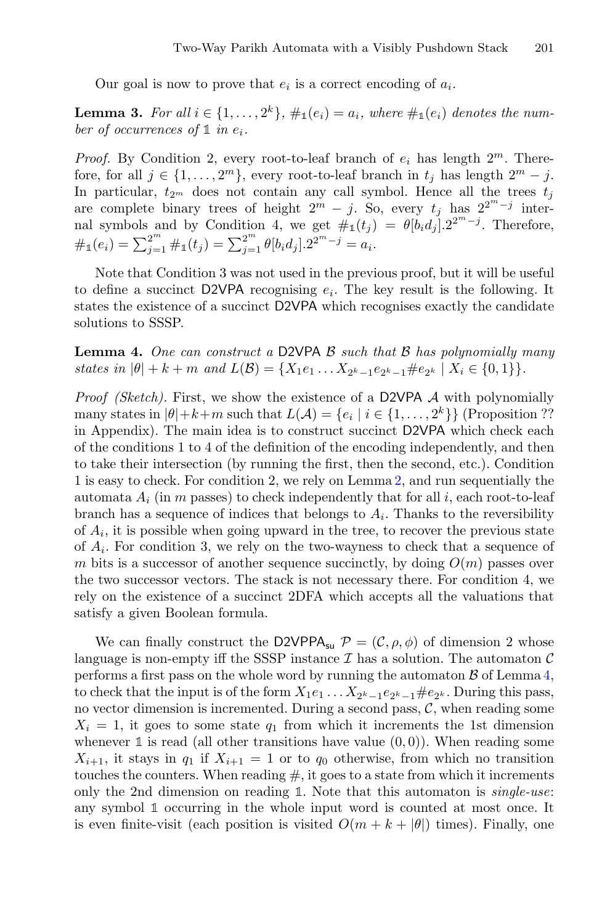Our goal is now to prove that  $e_i$  is a correct encoding of  $a_i$ .

**Lemma 3.** *For all*  $i \in \{1, \ldots, 2^k\}$ ,  $\#_1(e_i) = a_i$ , where  $\#_1(e_i)$  denotes the num*ber of occurrences of* 1 *in*  $e_i$ .

*Proof.* By Condition 2, every root-to-leaf branch of  $e_i$  has length  $2^m$ . Therefore, for all  $j \in \{1, ..., 2^m\}$ , every root-to-leaf branch in  $t_j$  has length  $2^m - j$ . In particular,  $t_{2m}$  does not contain any call symbol. Hence all the trees  $t_i$ are complete binary trees of height  $2^m - j$ . So, every  $t_j$  has  $2^{2^m - j}$  internal symbols and by Condition 4, we get  $\#_1(t_j) = \theta[b_i d_j] \cdot 2^{2^m - j}$ . Therefore,  $\#_1(e_i) = \sum_{j=1}^{2^m} \#_1(t_j) = \sum_{j=1}^{2^m} \theta[b_i d_j] \cdot 2^{2^m - j} = a_i.$ 

Note that Condition 3 was not used in the previous proof, but it will be useful to define a succinct D2VPA recognising  $e_i$ . The key result is the following. It states the existence of a succinct D2VPA which recognises exactly the candidate solutions to SSSP.

<span id="page-12-0"></span>**Lemma 4.** *One can construct a* D2VPA <sup>B</sup> *such that* <sup>B</sup> *has polynomially many states in*  $|\theta| + k + m$  *and*  $L(\mathcal{B}) = \{X_1e_1 \dots X_{2^k-1}e_{2^k-1} \# e_{2^k} \mid X_i \in \{0,1\} \}.$ 

*Proof (Sketch).* First, we show the existence of a D2VPA A with polynomially many states in  $|\theta|+k+m$  such that  $L(\mathcal{A}) = \{e_i \mid i \in \{1,\ldots,2^k\}\}\$  (Proposition ?? in Appendix). The main idea is to construct succinct D2VPA which check each of the conditions 1 to 4 of the definition of the encoding independently, and then to take their intersection (by running the first, then the second, etc.). Condition 1 is easy to check. For condition 2, we rely on Lemma [2,](#page-11-1) and run sequentially the automata  $A_i$  (in m passes) to check independently that for all i, each root-to-leaf branch has a sequence of indices that belongs to  $A_i$ . Thanks to the reversibility of  $A_i$ , it is possible when going upward in the tree, to recover the previous state of  $A_i$ . For condition 3, we rely on the two-wayness to check that a sequence of m bits is a successor of another sequence succinctly, by doing  $O(m)$  passes over the two successor vectors. The stack is not necessary there. For condition 4, we rely on the existence of a succinct 2DFA which accepts all the valuations that satisfy a given Boolean formula.

We can finally construct the D2VPPA<sub>su</sub>  $\mathcal{P} = (\mathcal{C}, \rho, \phi)$  of dimension 2 whose language is non-empty iff the SSSP instance  $\mathcal I$  has a solution. The automaton  $\mathcal C$ performs a first pass on the whole word by running the automaton  $\beta$  of Lemma [4,](#page-12-0) to check that the input is of the form  $X_1e_1 \ldots X_{2^k-1}e_{2^k-1} \# e_{2^k}$ . During this pass, no vector dimension is incremented. During a second pass,  $\mathcal{C}$ , when reading some  $X_i = 1$ , it goes to some state  $q_1$  from which it increments the 1st dimension whenever  $\mathbb{1}$  is read (all other transitions have value  $(0,0)$ ). When reading some  $X_{i+1}$ , it stays in  $q_1$  if  $X_{i+1} = 1$  or to  $q_0$  otherwise, from which no transition touches the counters. When reading  $\#$ , it goes to a state from which it increments only the 2nd dimension on reading **1**. Note that this automaton is *single-use*: any symbol **1** occurring in the whole input word is counted at most once. It is even finite-visit (each position is visited  $O(m + k + |\theta|)$  times). Finally, one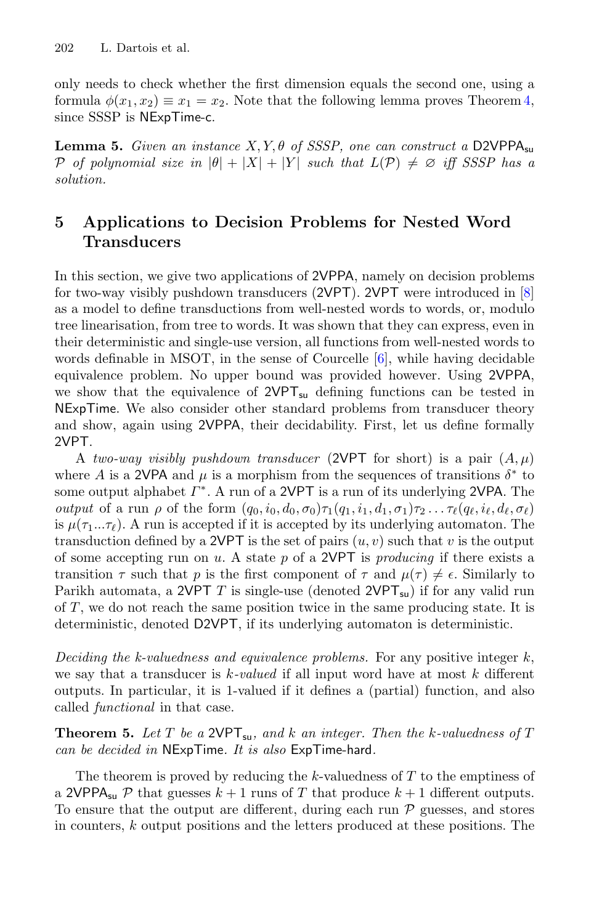only needs to check whether the first dimension equals the second one, using a formula  $\phi(x_1, x_2) \equiv x_1 = x_2$ . Note that the following lemma proves Theorem [4,](#page-10-1) since SSSP is NExpTime-c.

**Lemma 5.** *Given an instance*  $X, Y, \theta$  *of SSSP, one can construct a* D2VPPA<sub>su</sub> P of polynomial size in  $|\theta| + |X| + |Y|$  such that  $L(\mathcal{P}) \neq \emptyset$  iff SSSP has a *solution.*

## <span id="page-13-0"></span>**5 Applications to Decision Problems for Nested Word Transducers**

In this section, we give two applications of 2VPPA, namely on decision problems for two-way visibly pushdown transducers (2VPT). 2VPT were introduced in [\[8](#page-15-5)] as a model to define transductions from well-nested words to words, or, modulo tree linearisation, from tree to words. It was shown that they can express, even in their deterministic and single-use version, all functions from well-nested words to words definable in MSOT, in the sense of Courcelle  $[6]$  $[6]$ , while having decidable equivalence problem. No upper bound was provided however. Using 2VPPA, we show that the equivalence of  $2VPT_{\text{su}}$  defining functions can be tested in NExpTime. We also consider other standard problems from transducer theory and show, again using 2VPPA, their decidability. First, let us define formally 2VPT.

A *two-way visibly pushdown transducer* (2VPT for short) is a pair  $(A, \mu)$ where A is a 2VPA and  $\mu$  is a morphism from the sequences of transitions  $\delta^*$  to some output alphabet  $\Gamma^*$ . A run of a 2VPT is a run of its underlying 2VPA. The *output* of a run  $\rho$  of the form  $(q_0, i_0, d_0, \sigma_0) \tau_1(q_1, i_1, d_1, \sigma_1) \tau_2 \dots \tau_\ell(q_\ell, i_\ell, d_\ell, \sigma_\ell)$ is  $\mu(\tau_1...\tau_\ell)$ . A run is accepted if it is accepted by its underlying automaton. The transduction defined by a 2VPT is the set of pairs  $(u, v)$  such that v is the output of some accepting run on u. A state p of a 2VPT is *producing* if there exists a transition  $\tau$  such that p is the first component of  $\tau$  and  $\mu(\tau) \neq \epsilon$ . Similarly to Parikh automata, a 2VPT T is single-use (denoted  $2VPT_{su}$ ) if for any valid run of T, we do not reach the same position twice in the same producing state. It is deterministic, denoted D2VPT, if its underlying automaton is deterministic.

*Deciding the k-valuedness and equivalence problems.* For any positive integer k, we say that a transducer is k*-valued* if all input word have at most k different outputs. In particular, it is 1-valued if it defines a (partial) function, and also called *functional* in that case.

**Theorem 5.** Let T be a 2VPT<sub>su</sub>, and k an integer. Then the k-valuedness of T *can be decided in* NExpTime*. It is also* ExpTime-hard*.*

The theorem is proved by reducing the k-valuedness of  $T$  to the emptiness of a 2VPPA<sub>su</sub> P that guesses  $k+1$  runs of T that produce  $k+1$  different outputs. To ensure that the output are different, during each run  $P$  guesses, and stores in counters, k output positions and the letters produced at these positions. The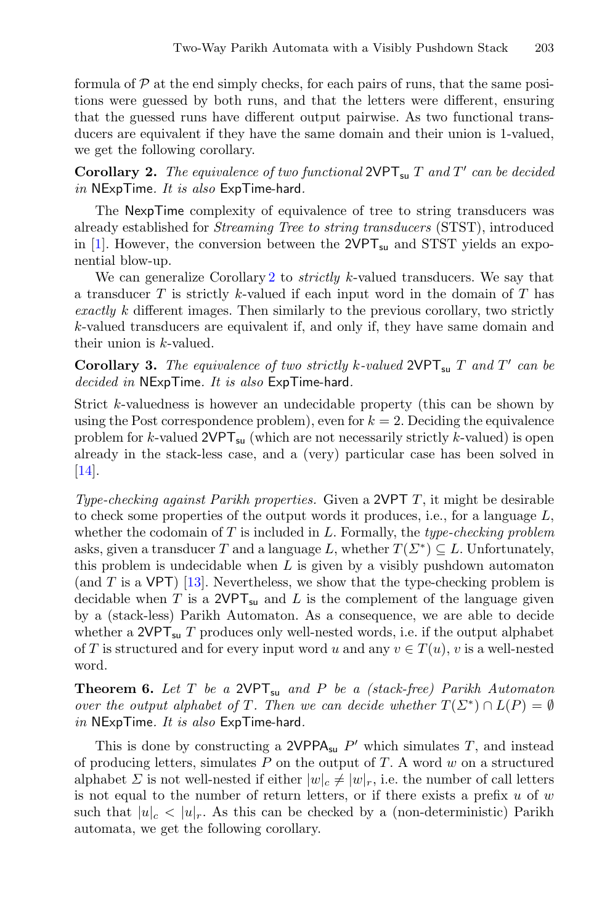formula of  $P$  at the end simply checks, for each pairs of runs, that the same positions were guessed by both runs, and that the letters were different, ensuring that the guessed runs have different output pairwise. As two functional transducers are equivalent if they have the same domain and their union is 1-valued, we get the following corollary.

<span id="page-14-0"></span>**Corollary 2.** The equivalence of two functional  $2VPT_{su}T$  and  $T'$  can be decided *in* NExpTime*. It is also* ExpTime-hard*.*

The NexpTime complexity of equivalence of tree to string transducers was already established for *Streaming Tree to string transducers* (STST), introduced in [\[1](#page-15-9)]. However, the conversion between the  $2VPT_{\text{su}}$  and STST yields an exponential blow-up.

We can generalize Corollary [2](#page-14-0) to *strictly* k-valued transducers. We say that a transducer T is strictly k-valued if each input word in the domain of T has *exactly* k different images. Then similarly to the previous corollary, two strictly k-valued transducers are equivalent if, and only if, they have same domain and their union is k-valued.

**Corollary 3.** *The equivalence of two strictly* k*-valued* 2VPTsu T *and* T *can be decided in* NExpTime*. It is also* ExpTime-hard*.*

Strict k-valuedness is however an undecidable property (this can be shown by using the Post correspondence problem), even for  $k = 2$ . Deciding the equivalence problem for k-valued  $2VPT_{su}$  (which are not necessarily strictly k-valued) is open already in the stack-less case, and a (very) particular case has been solved in [\[14](#page-16-13)].

*Type-checking against Parikh properties.* Given a 2VPT T, it might be desirable to check some properties of the output words it produces, i.e., for a language  $L$ , whether the codomain of T is included in L. Formally, the *type-checking problem* asks, given a transducer T and a language L, whether  $T(\Sigma^*) \subseteq L$ . Unfortunately, this problem is undecidable when  $L$  is given by a visibly pushdown automaton (and T is a VPT) [\[13\]](#page-16-8). Nevertheless, we show that the type-checking problem is decidable when T is a 2VPT<sub>su</sub> and L is the complement of the language given by a (stack-less) Parikh Automaton. As a consequence, we are able to decide whether a 2VPT<sub>su</sub> T produces only well-nested words, i.e. if the output alphabet of T is structured and for every input word u and any  $v \in T(u)$ , v is a well-nested word.

**Theorem 6.** *Let* T *be a* 2VPTsu *and* P *be a (stack-free) Parikh Automaton over the output alphabet of* T. Then we can decide whether  $T(\Sigma^*) \cap L(P) = \emptyset$ *in* NExpTime*. It is also* ExpTime-hard*.*

This is done by constructing a 2VPPA<sub>su</sub>  $P'$  which simulates T, and instead of producing letters, simulates  $P$  on the output of  $T$ . A word  $w$  on a structured alphabet  $\Sigma$  is not well-nested if either  $|w|_c \neq |w|_r$ , i.e. the number of call letters is not equal to the number of return letters, or if there exists a prefix  $u$  of  $w$ such that  $|u|_c < |u|_r$ . As this can be checked by a (non-deterministic) Parikh automata, we get the following corollary.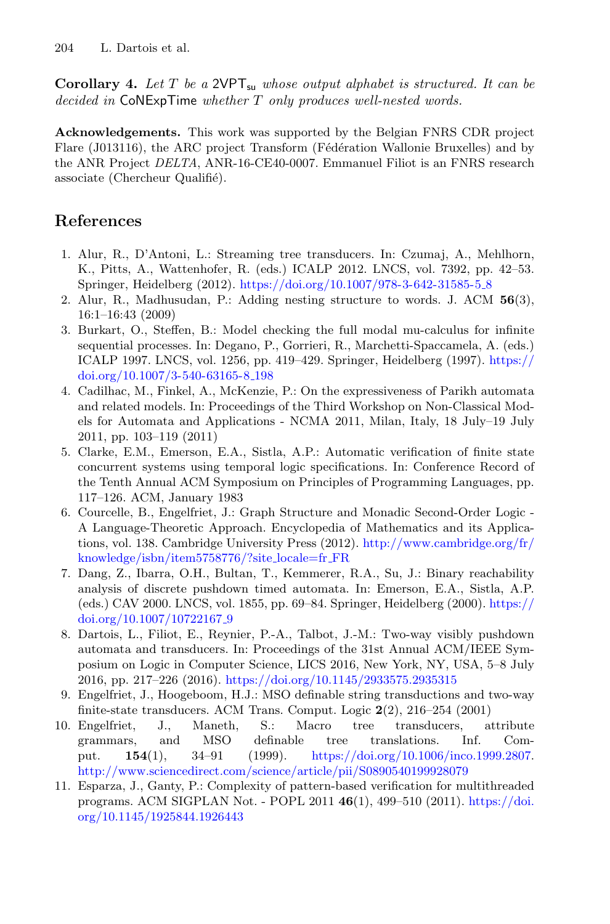**Corollary 4.** *Let* T *be a* 2VPTsu *whose output alphabet is structured. It can be decided in* CoNExpTime *whether* T *only produces well-nested words.*

**Acknowledgements.** This work was supported by the Belgian FNRS CDR project Flare (J013116), the ARC project Transform (Fédération Wallonie Bruxelles) and by the ANR Project *DELTA*, ANR-16-CE40-0007. Emmanuel Filiot is an FNRS research associate (Chercheur Qualifié).

## **References**

- <span id="page-15-9"></span>1. Alur, R., D'Antoni, L.: Streaming tree transducers. In: Czumaj, A., Mehlhorn, K., Pitts, A., Wattenhofer, R. (eds.) ICALP 2012. LNCS, vol. 7392, pp. 42–53. Springer, Heidelberg (2012). [https://doi.org/10.1007/978-3-642-31585-5](https://doi.org/10.1007/978-3-642-31585-5_8) 8
- <span id="page-15-4"></span>2. Alur, R., Madhusudan, P.: Adding nesting structure to words. J. ACM **56**(3), 16:1–16:43 (2009)
- <span id="page-15-0"></span>3. Burkart, O., Steffen, B.: Model checking the full modal mu-calculus for infinite sequential processes. In: Degano, P., Gorrieri, R., Marchetti-Spaccamela, A. (eds.) ICALP 1997. LNCS, vol. 1256, pp. 419–429. Springer, Heidelberg (1997). [https://](https://doi.org/10.1007/3-540-63165-8_198) [doi.org/10.1007/3-540-63165-8](https://doi.org/10.1007/3-540-63165-8_198) 198
- <span id="page-15-10"></span>4. Cadilhac, M., Finkel, A., McKenzie, P.: On the expressiveness of Parikh automata and related models. In: Proceedings of the Third Workshop on Non-Classical Models for Automata and Applications - NCMA 2011, Milan, Italy, 18 July–19 July 2011, pp. 103–119 (2011)
- <span id="page-15-1"></span>5. Clarke, E.M., Emerson, E.A., Sistla, A.P.: Automatic verification of finite state concurrent systems using temporal logic specifications. In: Conference Record of the Tenth Annual ACM Symposium on Principles of Programming Languages, pp. 117–126. ACM, January 1983
- <span id="page-15-6"></span>6. Courcelle, B., Engelfriet, J.: Graph Structure and Monadic Second-Order Logic - A Language-Theoretic Approach. Encyclopedia of Mathematics and its Applications, vol. 138. Cambridge University Press (2012). [http://www.cambridge.org/fr/](http://www.cambridge.org/fr/knowledge/isbn/item5758776/?site_locale=fr_FR) [knowledge/isbn/item5758776/?site](http://www.cambridge.org/fr/knowledge/isbn/item5758776/?site_locale=fr_FR) locale=fr FR
- <span id="page-15-2"></span>7. Dang, Z., Ibarra, O.H., Bultan, T., Kemmerer, R.A., Su, J.: Binary reachability analysis of discrete pushdown timed automata. In: Emerson, E.A., Sistla, A.P. (eds.) CAV 2000. LNCS, vol. 1855, pp. 69–84. Springer, Heidelberg (2000). [https://](https://doi.org/10.1007/10722167_9) [doi.org/10.1007/10722167](https://doi.org/10.1007/10722167_9) 9
- <span id="page-15-5"></span>8. Dartois, L., Filiot, E., Reynier, P.-A., Talbot, J.-M.: Two-way visibly pushdown automata and transducers. In: Proceedings of the 31st Annual ACM/IEEE Symposium on Logic in Computer Science, LICS 2016, New York, NY, USA, 5–8 July 2016, pp. 217–226 (2016). <https://doi.org/10.1145/2933575.2935315>
- <span id="page-15-8"></span>9. Engelfriet, J., Hoogeboom, H.J.: MSO definable string transductions and two-way finite-state transducers. ACM Trans. Comput. Logic **2**(2), 216–254 (2001)
- <span id="page-15-7"></span>10. Engelfriet, J., Maneth, S.: Macro tree transducers, attribute grammars, and MSO definable tree translations. Inf. Comput. **154**(1), 34–91 (1999). [https://doi.org/10.1006/inco.1999.2807.](https://doi.org/10.1006/inco.1999.2807) <http://www.sciencedirect.com/science/article/pii/S0890540199928079>
- <span id="page-15-3"></span>11. Esparza, J., Ganty, P.: Complexity of pattern-based verification for multithreaded programs. ACM SIGPLAN Not. - POPL 2011 **46**(1), 499–510 (2011). [https://doi.](https://doi.org/10.1145/1925844.1926443) [org/10.1145/1925844.1926443](https://doi.org/10.1145/1925844.1926443)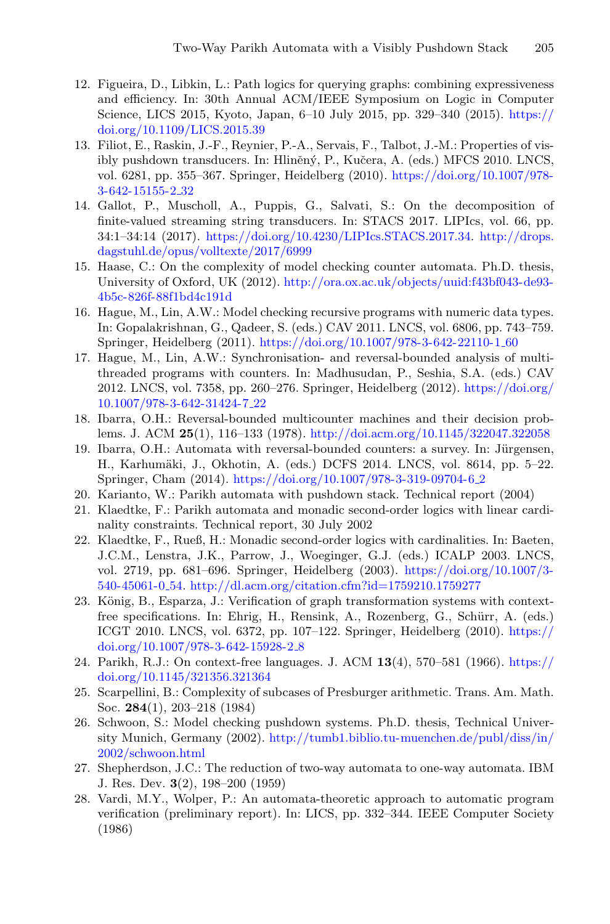- <span id="page-16-6"></span>12. Figueira, D., Libkin, L.: Path logics for querying graphs: combining expressiveness and efficiency. In: 30th Annual ACM/IEEE Symposium on Logic in Computer Science, LICS 2015, Kyoto, Japan, 6–10 July 2015, pp. 329–340 (2015). [https://](https://doi.org/10.1109/LICS.2015.39) [doi.org/10.1109/LICS.2015.39](https://doi.org/10.1109/LICS.2015.39)
- <span id="page-16-8"></span>13. Filiot, E., Raskin, J.-F., Reynier, P.-A., Servais, F., Talbot, J.-M.: Properties of visibly pushdown transducers. In: Hliněný, P., Kučera, A. (eds.) MFCS 2010. LNCS, vol. 6281, pp. 355–367. Springer, Heidelberg (2010). [https://doi.org/10.1007/978-](https://doi.org/10.1007/978-3-642-15155-2_32) [3-642-15155-2](https://doi.org/10.1007/978-3-642-15155-2_32) 32
- <span id="page-16-13"></span>14. Gallot, P., Muscholl, A., Puppis, G., Salvati, S.: On the decomposition of finite-valued streaming string transducers. In: STACS 2017. LIPIcs, vol. 66, pp. 34:1–34:14 (2017). [https://doi.org/10.4230/LIPIcs.STACS.2017.34.](https://doi.org/10.4230/LIPIcs.STACS.2017.34) [http://drops.](http://drops.dagstuhl.de/opus/volltexte/2017/6999) [dagstuhl.de/opus/volltexte/2017/6999](http://drops.dagstuhl.de/opus/volltexte/2017/6999)
- <span id="page-16-2"></span>15. Haase, C.: On the complexity of model checking counter automata. Ph.D. thesis, University of Oxford, UK (2012). [http://ora.ox.ac.uk/objects/uuid:f43bf043-de93-](http://ora.ox.ac.uk/objects/uuid:f43bf043-de93-4b5c-826f-88f1bd4c191d) [4b5c-826f-88f1bd4c191d](http://ora.ox.ac.uk/objects/uuid:f43bf043-de93-4b5c-826f-88f1bd4c191d)
- <span id="page-16-9"></span>16. Hague, M., Lin, A.W.: Model checking recursive programs with numeric data types. In: Gopalakrishnan, G., Qadeer, S. (eds.) CAV 2011. LNCS, vol. 6806, pp. 743–759. Springer, Heidelberg (2011). [https://doi.org/10.1007/978-3-642-22110-1](https://doi.org/10.1007/978-3-642-22110-1_60) 60
- 17. Hague, M., Lin, A.W.: Synchronisation- and reversal-bounded analysis of multithreaded programs with counters. In: Madhusudan, P., Seshia, S.A. (eds.) CAV 2012. LNCS, vol. 7358, pp. 260–276. Springer, Heidelberg (2012). [https://doi.org/](https://doi.org/10.1007/978-3-642-31424-7_22) [10.1007/978-3-642-31424-7](https://doi.org/10.1007/978-3-642-31424-7_22) 22
- <span id="page-16-3"></span>18. Ibarra, O.H.: Reversal-bounded multicounter machines and their decision problems. J. ACM **25**(1), 116–133 (1978). <http://doi.acm.org/10.1145/322047.322058>
- <span id="page-16-7"></span>19. Ibarra, O.H.: Automata with reversal-bounded counters: a survey. In: Jürgensen, H., Karhumäki, J., Okhotin, A. (eds.) DCFS 2014. LNCS, vol. 8614, pp. 5–22. Springer, Cham (2014). [https://doi.org/10.1007/978-3-319-09704-6](https://doi.org/10.1007/978-3-319-09704-6_2) 2
- <span id="page-16-11"></span>20. Karianto, W.: Parikh automata with pushdown stack. Technical report (2004)
- <span id="page-16-12"></span>21. Klaedtke, F.: Parikh automata and monadic second-order logics with linear cardinality constraints. Technical report, 30 July 2002
- <span id="page-16-5"></span>22. Klaedtke, F., Rueß, H.: Monadic second-order logics with cardinalities. In: Baeten, J.C.M., Lenstra, J.K., Parrow, J., Woeginger, G.J. (eds.) ICALP 2003. LNCS, vol. 2719, pp. 681–696. Springer, Heidelberg (2003). [https://doi.org/10.1007/3-](https://doi.org/10.1007/3-540-45061-0_54) [540-45061-0](https://doi.org/10.1007/3-540-45061-0_54) 54. <http://dl.acm.org/citation.cfm?id=1759210.1759277>
- <span id="page-16-4"></span>23. König, B., Esparza, J.: Verification of graph transformation systems with contextfree specifications. In: Ehrig, H., Rensink, A., Rozenberg, G., Schürr, A. (eds.) ICGT 2010. LNCS, vol. 6372, pp. 107–122. Springer, Heidelberg (2010). [https://](https://doi.org/10.1007/978-3-642-15928-2_8) [doi.org/10.1007/978-3-642-15928-2](https://doi.org/10.1007/978-3-642-15928-2_8) 8
- <span id="page-16-10"></span>24. Parikh, R.J.: On context-free languages. J. ACM **13**(4), 570–581 (1966). [https://](https://doi.org/10.1145/321356.321364) [doi.org/10.1145/321356.321364](https://doi.org/10.1145/321356.321364)
- 25. Scarpellini, B.: Complexity of subcases of Presburger arithmetic. Trans. Am. Math. Soc. **284**(1), 203–218 (1984)
- <span id="page-16-1"></span>26. Schwoon, S.: Model checking pushdown systems. Ph.D. thesis, Technical University Munich, Germany (2002). [http://tumb1.biblio.tu-muenchen.de/publ/diss/in/](http://tumb1.biblio.tu-muenchen.de/publ/diss/in/2002/schwoon.html) [2002/schwoon.html](http://tumb1.biblio.tu-muenchen.de/publ/diss/in/2002/schwoon.html)
- 27. Shepherdson, J.C.: The reduction of two-way automata to one-way automata. IBM J. Res. Dev. **3**(2), 198–200 (1959)
- <span id="page-16-0"></span>28. Vardi, M.Y., Wolper, P.: An automata-theoretic approach to automatic program verification (preliminary report). In: LICS, pp. 332–344. IEEE Computer Society (1986)